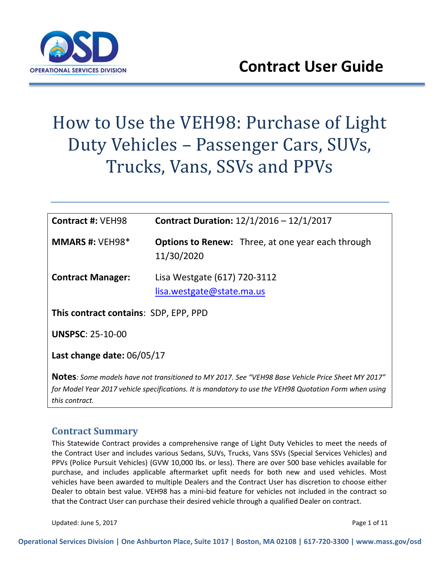

# How to Use the VEH98: Purchase of Light Duty Vehicles – Passenger Cars, SUVs, Trucks, Vans, SSVs and PPVs

| <b>Contract #: VEH98</b>              | <b>Contract Duration:</b> $12/1/2016 - 12/1/2017$                                                                                                                                                           |  |
|---------------------------------------|-------------------------------------------------------------------------------------------------------------------------------------------------------------------------------------------------------------|--|
| <b>MMARS #: VEH98*</b>                | <b>Options to Renew:</b> Three, at one year each through<br>11/30/2020                                                                                                                                      |  |
| <b>Contract Manager:</b>              | Lisa Westgate (617) 720-3112<br>lisa.westgate@state.ma.us                                                                                                                                                   |  |
| This contract contains: SDP, EPP, PPD |                                                                                                                                                                                                             |  |
| <b>UNSPSC: 25-10-00</b>               |                                                                                                                                                                                                             |  |
| Last change date: $06/05/17$          |                                                                                                                                                                                                             |  |
| this contract.                        | "Notes: Some models have not transitioned to MY 2017. See "VEH98 Base Vehicle Price Sheet MY 2017<br>for Model Year 2017 vehicle specifications. It is mandatory to use the VEH98 Quotation Form when using |  |

## **Contract Summary**

This Statewide Contract provides a comprehensive range of Light Duty Vehicles to meet the needs of the Contract User and includes various Sedans, SUVs, Trucks, Vans SSVs (Special Services Vehicles) and PPVs (Police Pursuit Vehicles) (GVW 10,000 lbs. or less). There are over 500 base vehicles available for purchase, and includes applicable aftermarket upfit needs for both new and used vehicles. Most vehicles have been awarded to multiple Dealers and the Contract User has discretion to choose either Dealer to obtain best value. VEH98 has a mini-bid feature for vehicles not included in the contract so that the Contract User can purchase their desired vehicle through a qualified Dealer on contract.

Updated: June 5, 2017 **Page 1 of 11** Page 1 of 11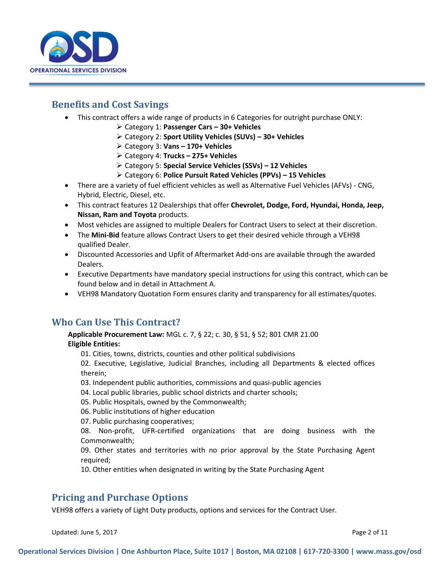

## **Benefits and Cost Savings**

- This contract offers a wide range of products in 6 Categories for outright purchase ONLY:
	- Category 1: **Passenger Cars – 30+ Vehicles**
	- Category 2: **Sport Utility Vehicles (SUVs) – 30+ Vehicles**
	- Category 3: **Vans – 170+ Vehicles**
	- Category 4: **Trucks – 275+ Vehicles**
	- Category 5: **Special Service Vehicles (SSVs) – 12 Vehicles**
	- Category 6: **Police Pursuit Rated Vehicles (PPVs) – 15 Vehicles**
- There are a variety of fuel efficient vehicles as well as Alternative Fuel Vehicles (AFVs) CNG, Hybrid, Electric, Diesel, etc.
- This contract features 12 Dealerships that offer **Chevrolet, Dodge, Ford, Hyundai, Honda, Jeep, Nissan, Ram and Toyota** products.
- Most vehicles are assigned to multiple Dealers for Contract Users to select at their discretion.
- The **Mini-Bid** feature allows Contract Users to get their desired vehicle through a VEH98 qualified Dealer.
- Discounted Accessories and Upfit of Aftermarket Add-ons are available through the awarded Dealers.
- Executive Departments have mandatory special instructions for using this contract, which can be found below and in detail in Attachment A.
- VEH98 Mandatory Quotation Form ensures clarity and transparency for all estimates/quotes.

## **Who Can Use This Contract?**

**Applicable Procurement Law:** MGL c. 7, § 22; c. 30, § 51, § 52; 801 CMR 21.00 **Eligible Entities:**

01. Cities, towns, districts, counties and other political subdivisions

02. Executive, Legislative, Judicial Branches, including all Departments & elected offices therein;

- 03. Independent public authorities, commissions and quasi-public agencies
- 04. Local public libraries, public school districts and charter schools;
- 05. Public Hospitals, owned by the Commonwealth;
- 06. Public institutions of higher education

07. Public purchasing cooperatives;

08. Non-profit, UFR-certified organizations that are doing business with the Commonwealth;

09. Other states and territories with no prior approval by the State Purchasing Agent required;

10. Other entities when designated in writing by the State Purchasing Agent

## **Pricing and Purchase Options**

VEH98 offers a variety of Light Duty products, options and services for the Contract User.

Updated: June 5, 2017 **Page 2 of 11**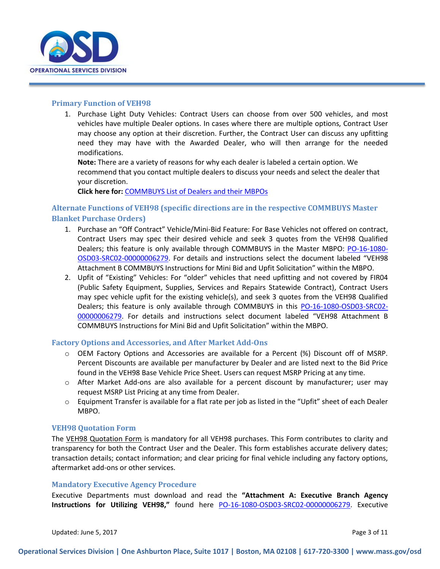

#### **Primary Function of VEH98**

1. Purchase Light Duty Vehicles: Contract Users can choose from over 500 vehicles, and most vehicles have multiple Dealer options. In cases where there are multiple options, Contract User may choose any option at their discretion. Further, the Contract User can discuss any upfitting need they may have with the Awarded Dealer, who will then arrange for the needed modifications.

**Note:** There are a variety of reasons for why each dealer is labeled a certain option. We recommend that you contact multiple dealers to discuss your needs and select the dealer that your discretion.

**Click here for:** [COMMBUYS List of Dealers and their MBPOs](https://www.commbuys.com/bso/external/advsearch/searchContract.sdo) 

## **Alternate Functions of VEH98 (specific directions are in the respective COMMBUYS Master Blanket Purchase Orders)**

- 1. Purchase an "Off Contract" Vehicle/Mini-Bid Feature: For Base Vehicles not offered on contract, Contract Users may spec their desired vehicle and seek 3 quotes from the VEH98 Qualified Dealers; this feature is only available through COMMBUYS in the Master MBPO: [PO-16-1080-](https://www.commbuys.com/bso/external/purchaseorder/poSummary.sdo?docId=PO-16-1080-OSD03-SRC02-00000006279&releaseNbr=0&parentUrl=contract) [OSD03-SRC02-00000006279.](https://www.commbuys.com/bso/external/purchaseorder/poSummary.sdo?docId=PO-16-1080-OSD03-SRC02-00000006279&releaseNbr=0&parentUrl=contract) For details and instructions select the document labeled "VEH98 Attachment B COMMBUYS Instructions for Mini Bid and Upfit Solicitation" within the MBPO.
- 2. Upfit of "Existing" Vehicles: For "older" vehicles that need upfitting and not covered by FIR04 (Public Safety Equipment, Supplies, Services and Repairs Statewide Contract), Contract Users may spec vehicle upfit for the existing vehicle(s), and seek 3 quotes from the VEH98 Qualified Dealers; this feature is only available through COMMBUYS in this [PO-16-1080-OSD03-SRC02-](https://www.commbuys.com/bso/external/purchaseorder/poSummary.sdo?docId=PO-16-1080-OSD03-SRC02-00000006279&releaseNbr=0&parentUrl=contract) [00000006279](https://www.commbuys.com/bso/external/purchaseorder/poSummary.sdo?docId=PO-16-1080-OSD03-SRC02-00000006279&releaseNbr=0&parentUrl=contract). For details and instructions select document labeled "VEH98 Attachment B COMMBUYS Instructions for Mini Bid and Upfit Solicitation" within the MBPO.

#### **Factory Options and Accessories, and After Market Add-Ons**

- o OEM Factory Options and Accessories are available for a Percent (%) Discount off of MSRP. Percent Discounts are available per manufacturer by Dealer and are listed next to the Bid Price found in the VEH98 Base Vehicle Price Sheet. Users can request MSRP Pricing at any time.
- o After Market Add-ons are also available for a percent discount by manufacturer; user may request MSRP List Pricing at any time from Dealer.
- $\circ$  Equipment Transfer is available for a flat rate per job as listed in the "Upfit" sheet of each Dealer MBPO.

#### **VEH98 Quotation Form**

The VEH98 Quotation Form is mandatory for all VEH98 purchases. This Form contributes to clarity and transparency for both the Contract User and the Dealer. This form establishes accurate delivery dates; transaction details; contact information; and clear pricing for final vehicle including any factory options, aftermarket add-ons or other services.

#### **Mandatory Executive Agency Procedure**

Executive Departments must download and read the **"Attachment A: Executive Branch Agency Instructions for Utilizing VEH98,"** found here [PO-16-1080-OSD03-SRC02-00000006279.](https://www.commbuys.com/bso/external/purchaseorder/poSummary.sdo?docId=PO-16-1080-OSD03-SRC02-00000006279&releaseNbr=0&parentUrl=contract) Executive

Updated: June 5, 2017 **Page 3 of 11** Page 3 of 11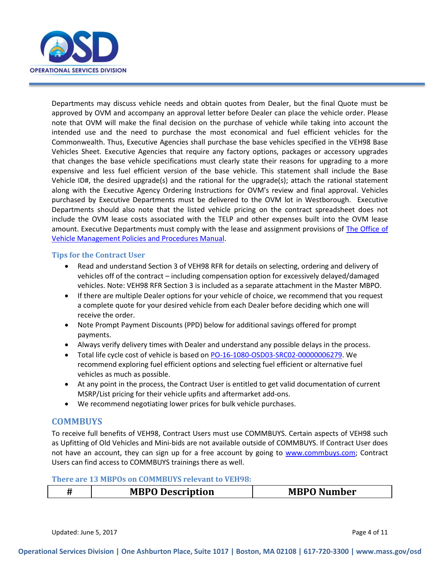

Departments may discuss vehicle needs and obtain quotes from Dealer, but the final Quote must be approved by OVM and accompany an approval letter before Dealer can place the vehicle order. Please note that OVM will make the final decision on the purchase of vehicle while taking into account the intended use and the need to purchase the most economical and fuel efficient vehicles for the Commonwealth. Thus, Executive Agencies shall purchase the base vehicles specified in the VEH98 Base Vehicles Sheet. Executive Agencies that require any factory options, packages or accessory upgrades that changes the base vehicle specifications must clearly state their reasons for upgrading to a more expensive and less fuel efficient version of the base vehicle. This statement shall include the Base Vehicle ID#, the desired upgrade(s) and the rational for the upgrade(s); attach the rational statement along with the Executive Agency Ordering Instructions for OVM's review and final approval. Vehicles purchased by Executive Departments must be delivered to the OVM lot in Westborough. Executive Departments should also note that the listed vehicle pricing on the contract spreadsheet does not include the OVM lease costs associated with the TELP and other expenses built into the OVM lease amount. Executive Departments must comply with the lease and assignment provisions of **The Office of** [Vehicle Management Policies and Procedures Manual.](http://www.mass.gov/anf/docs/osd/ovm/ovmmanual.doc)

#### **Tips for the Contract User**

- Read and understand Section 3 of VEH98 RFR for details on selecting, ordering and delivery of vehicles off of the contract – including compensation option for excessively delayed/damaged vehicles. Note: VEH98 RFR Section 3 is included as a separate attachment in the Master MBPO.
- If there are multiple Dealer options for your vehicle of choice, we recommend that you request a complete quote for your desired vehicle from each Dealer before deciding which one will receive the order.
- Note Prompt Payment Discounts (PPD) below for additional savings offered for prompt payments.
- Always verify delivery times with Dealer and understand any possible delays in the process.
- Total life cycle cost of vehicle is based on [PO-16-1080-OSD03-SRC02-00000006279.](https://www.commbuys.com/bso/external/purchaseorder/poSummary.sdo?docId=PO-16-1080-OSD03-SRC02-00000006279&releaseNbr=0&parentUrl=contract) We recommend exploring fuel efficient options and selecting fuel efficient or alternative fuel vehicles as much as possible.
- At any point in the process, the Contract User is entitled to get valid documentation of current MSRP/List pricing for their vehicle upfits and aftermarket add-ons.
- We recommend negotiating lower prices for bulk vehicle purchases.

#### **COMMBUYS**

To receive full benefits of VEH98, Contract Users must use COMMBUYS. Certain aspects of VEH98 such as Upfitting of Old Vehicles and Mini-bids are not available outside of COMMBUYS. If Contract User does not have an account, they can sign up for a free account by going to [www.commbuys.com;](http://www.commbuys.com/) Contract Users can find access to COMMBUYS trainings there as well.

#### **There are 13 MBPOs on COMMBUYS relevant to VEH98:**

| <b>MBPO Number</b><br><b>MBPO Description</b> |  |
|-----------------------------------------------|--|
|-----------------------------------------------|--|

Updated: June 5, 2017 **Page 4 of 11**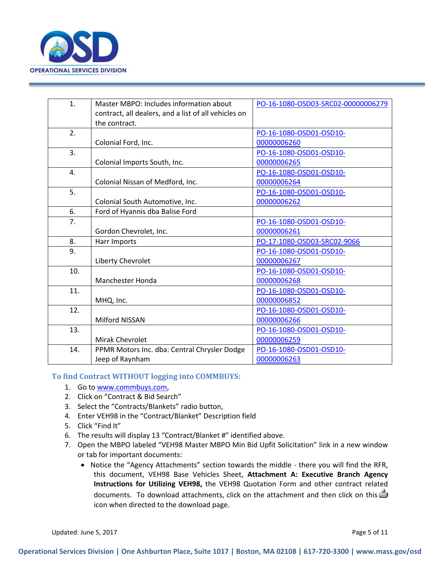

| 1.  | Master MBPO: Includes information about<br>contract, all dealers, and a list of all vehicles on<br>the contract. | PO-16-1080-OSD03-SRC02-00000006279 |
|-----|------------------------------------------------------------------------------------------------------------------|------------------------------------|
| 2.  |                                                                                                                  | PO-16-1080-OSD01-OSD10-            |
|     | Colonial Ford, Inc.                                                                                              | 00000006260                        |
| 3.  |                                                                                                                  | PO-16-1080-OSD01-OSD10-            |
|     | Colonial Imports South, Inc.                                                                                     | 00000006265                        |
| 4.  |                                                                                                                  | PO-16-1080-OSD01-OSD10-            |
|     | Colonial Nissan of Medford, Inc.                                                                                 | 00000006264                        |
| 5.  |                                                                                                                  | PO-16-1080-OSD01-OSD10-            |
|     | Colonial South Automotive, Inc.                                                                                  | 00000006262                        |
| 6.  | Ford of Hyannis dba Balise Ford                                                                                  |                                    |
| 7.  |                                                                                                                  | PO-16-1080-OSD01-OSD10-            |
|     | Gordon Chevrolet, Inc.                                                                                           | 00000006261                        |
| 8.  | Harr Imports                                                                                                     | PO-17-1080-OSD03-SRC02-9066        |
| 9.  |                                                                                                                  | PO-16-1080-OSD01-OSD10-            |
|     | Liberty Chevrolet                                                                                                | 00000006267                        |
| 10. |                                                                                                                  | PO-16-1080-OSD01-OSD10-            |
|     | <b>Manchester Honda</b>                                                                                          | 00000006268                        |
| 11. |                                                                                                                  | PO-16-1080-OSD01-OSD10-            |
|     | MHQ, Inc.                                                                                                        | 00000006852                        |
| 12. |                                                                                                                  | PO-16-1080-OSD01-OSD10-            |
|     | <b>Milford NISSAN</b>                                                                                            | 00000006266                        |
| 13. |                                                                                                                  | PO-16-1080-OSD01-OSD10-            |
|     | <b>Mirak Chevrolet</b>                                                                                           | 00000006259                        |
| 14. | PPMR Motors Inc. dba: Central Chrysler Dodge                                                                     | PO-16-1080-OSD01-OSD10-            |
|     | Jeep of Raynham                                                                                                  | 00000006263                        |

#### **To find Contract WITHOUT logging into COMMBUYS:**

- 1. Go to [www.commbuys.com,](http://www.commbuys.com/)
- 2. Click on "Contract & Bid Search"
- 3. Select the "Contracts/Blankets" radio button,
- 4. Enter VEH98 in the "Contract/Blanket" Description field
- 5. Click "Find It"
- 6. The results will display 13 "Contract/Blanket #" identified above.
- 7. Open the MBPO labeled "VEH98 Master MBPO Min Bid Upfit Solicitation" link in a new window or tab for important documents:
	- Notice the "Agency Attachments" section towards the middle there you will find the RFR, this document, VEH98 Base Vehicles Sheet, **Attachment A: Executive Branch Agency Instructions for Utilizing VEH98,** the VEH98 Quotation Form and other contract related documents. To download attachments, click on the attachment and then click on this  $\triangleq$ icon when directed to the download page.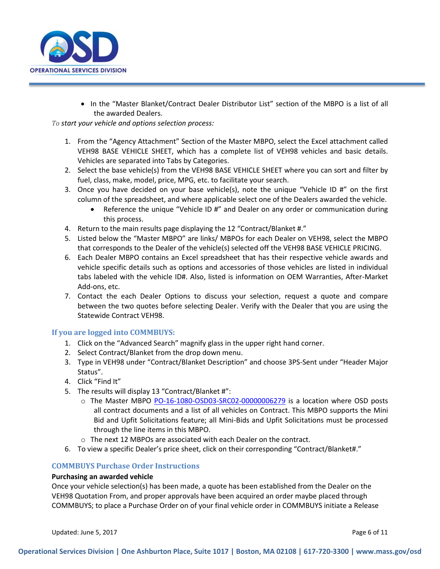

 In the "Master Blanket/Contract Dealer Distributor List" section of the MBPO is a list of all the awarded Dealers.

*To start your vehicle and options selection process:*

- 1. From the "Agency Attachment" Section of the Master MBPO, select the Excel attachment called VEH98 BASE VEHICLE SHEET, which has a complete list of VEH98 vehicles and basic details. Vehicles are separated into Tabs by Categories.
- 2. Select the base vehicle(s) from the VEH98 BASE VEHICLE SHEET where you can sort and filter by fuel, class, make, model, price, MPG, etc. to facilitate your search.
- 3. Once you have decided on your base vehicle(s), note the unique "Vehicle ID  $#$ " on the first column of the spreadsheet, and where applicable select one of the Dealers awarded the vehicle.
	- Reference the unique "Vehicle ID #" and Dealer on any order or communication during this process.
- 4. Return to the main results page displaying the 12 "Contract/Blanket #."
- 5. Listed below the "Master MBPO" are links/ MBPOs for each Dealer on VEH98, select the MBPO that corresponds to the Dealer of the vehicle(s) selected off the VEH98 BASE VEHICLE PRICING.
- 6. Each Dealer MBPO contains an Excel spreadsheet that has their respective vehicle awards and vehicle specific details such as options and accessories of those vehicles are listed in individual tabs labeled with the vehicle ID#. Also, listed is information on OEM Warranties, After-Market Add-ons, etc.
- 7. Contact the each Dealer Options to discuss your selection, request a quote and compare between the two quotes before selecting Dealer. Verify with the Dealer that you are using the Statewide Contract VEH98.

#### **If you are logged into COMMBUYS:**

- 1. Click on the "Advanced Search" magnify glass in the upper right hand corner.
- 2. Select Contract/Blanket from the drop down menu.
- 3. Type in VEH98 under "Contract/Blanket Description" and choose 3PS-Sent under "Header Major Status".
- 4. Click "Find It"
- 5. The results will display 13 "Contract/Blanket #":
	- o The Master MBPO [PO-16-1080-OSD03-SRC02-00000006279](https://www.commbuys.com/bso/external/purchaseorder/poSummary.sdo?docId=PO-16-1080-OSD03-SRC02-00000006279&releaseNbr=0&parentUrl=contract) is a location where OSD posts all contract documents and a list of all vehicles on Contract. This MBPO supports the Mini Bid and Upfit Solicitations feature; all Mini-Bids and Upfit Solicitations must be processed through the line items in this MBPO.
	- o The next 12 MBPOs are associated with each Dealer on the contract.
- 6. To view a specific Dealer's price sheet, click on their corresponding "Contract/Blanket#."

#### **COMMBUYS Purchase Order Instructions**

#### **Purchasing an awarded vehicle**

Once your vehicle selection(s) has been made, a quote has been established from the Dealer on the VEH98 Quotation From, and proper approvals have been acquired an order maybe placed through COMMBUYS; to place a Purchase Order on of your final vehicle order in COMMBUYS initiate a Release

Updated: June 5, 2017 **Page 6 of 11** Page 6 of 11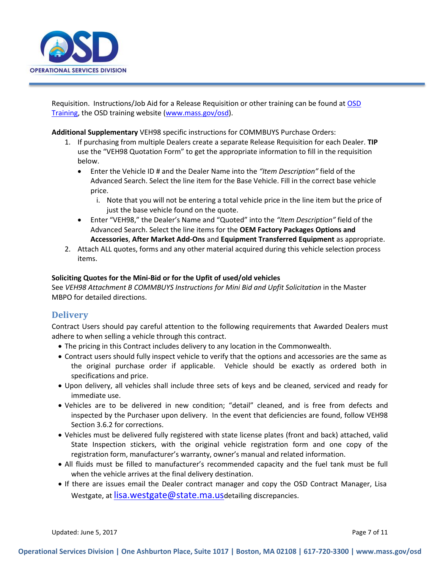

Requisition. Instructions/Job Aid for a Release Requisition or other training can be found at [OSD](http://www.mass.gov/anf/budget-taxes-and-procurement/procurement-info-and-res/training/)  [Training,](http://www.mass.gov/anf/budget-taxes-and-procurement/procurement-info-and-res/training/) the OSD training website [\(www.mass.gov/osd\)](http://www.mass.gov/osd).

**Additional Supplementary** VEH98 specific instructions for COMMBUYS Purchase Orders:

- 1. If purchasing from multiple Dealers create a separate Release Requisition for each Dealer. **TIP**  use the "VEH98 Quotation Form" to get the appropriate information to fill in the requisition below.
	- Enter the Vehicle ID # and the Dealer Name into the *"Item Description"* field of the Advanced Search. Select the line item for the Base Vehicle. Fill in the correct base vehicle price.
		- i. Note that you will not be entering a total vehicle price in the line item but the price of just the base vehicle found on the quote.
	- Enter "VEH98," the Dealer's Name and "Quoted" into the *"Item Description"* field of the Advanced Search. Select the line items for the **OEM Factory Packages Options and Accessories**, **After Market Add-Ons** and **Equipment Transferred Equipment** as appropriate.
- 2. Attach ALL quotes, forms and any other material acquired during this vehicle selection process items.

#### **Soliciting Quotes for the Mini-Bid or for the Upfit of used/old vehicles**

See VEH98 Attachment B COMMBUYS Instructions for Mini Bid and Upfit Solicitation in the Master MBPO for detailed directions.

### **Delivery**

Contract Users should pay careful attention to the following requirements that Awarded Dealers must adhere to when selling a vehicle through this contract.

- The pricing in this Contract includes delivery to any location in the Commonwealth.
- Contract users should fully inspect vehicle to verify that the options and accessories are the same as the original purchase order if applicable. Vehicle should be exactly as ordered both in specifications and price.
- Upon delivery, all vehicles shall include three sets of keys and be cleaned, serviced and ready for immediate use.
- Vehicles are to be delivered in new condition; "detail" cleaned, and is free from defects and inspected by the Purchaser upon delivery. In the event that deficiencies are found, follow VEH98 Section 3.6.2 for corrections.
- Vehicles must be delivered fully registered with state license plates (front and back) attached, valid State Inspection stickers, with the original vehicle registration form and one copy of the registration form, manufacturer's warranty, owner's manual and related information.
- All fluids must be filled to manufacturer's recommended capacity and the fuel tank must be full when the vehicle arrives at the final delivery destination.
- If there are issues email the Dealer contract manager and copy the OSD Contract Manager, Lisa Westgate, at [lisa.westgate@state.ma.us](mailto:lisa.westgate@state.ma.us)detailing discrepancies.

Updated: June 5, 2017 **Page 7 of 11** Page 7 of 11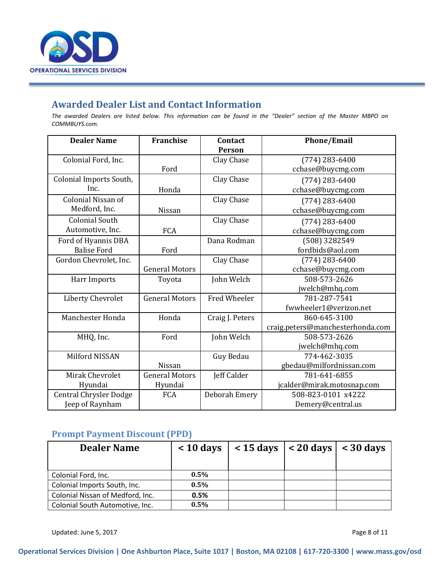

## **Awarded Dealer List and Contact Information**

*The awarded Dealers are listed below. This information can be found in the "Dealer" section of the Master MBPO on COMMBUYS.com.*

| <b>Dealer Name</b>            | <b>Franchise</b>      | Contact<br>Person   | <b>Phone/Email</b>               |
|-------------------------------|-----------------------|---------------------|----------------------------------|
| Colonial Ford, Inc.           |                       | Clay Chase          | $(774)$ 283-6400                 |
|                               | Ford                  |                     | cchase@buycmg.com                |
| Colonial Imports South,       |                       | Clay Chase          | $(774)$ 283-6400                 |
| Inc.                          | Honda                 |                     | cchase@buycmg.com                |
| Colonial Nissan of            |                       | Clay Chase          | $(774)$ 283-6400                 |
| Medford, Inc.                 | Nissan                |                     | cchase@buycmg.com                |
| <b>Colonial South</b>         |                       | Clay Chase          | $(774)$ 283-6400                 |
| Automotive, Inc.              | FCA                   |                     | cchase@buycmg.com                |
| Ford of Hyannis DBA           |                       | Dana Rodman         | (508) 3282549                    |
| <b>Balise Ford</b>            | Ford                  |                     | fordbids@aol.com                 |
| Gordon Chevrolet, Inc.        |                       | Clay Chase          | $(774)$ 283-6400                 |
|                               | <b>General Motors</b> |                     | cchase@buycmg.com                |
| Harr Imports                  | Toyota                | John Welch          | 508-573-2626                     |
|                               |                       |                     | jwelch@mhq.com                   |
| <b>Liberty Chevrolet</b>      | <b>General Motors</b> | <b>Fred Wheeler</b> | 781-287-7541                     |
|                               |                       |                     | fwwheeler1@verizon.net           |
| Manchester Honda              | Honda                 | Craig J. Peters     | 860-645-3100                     |
|                               |                       |                     | craig.peters@manchesterhonda.com |
| MHQ, Inc.                     | Ford                  | John Welch          | 508-573-2626                     |
|                               |                       |                     | jwelch@mhq.com                   |
| Milford NISSAN                |                       | Guy Bedau           | 774-462-3035                     |
|                               | Nissan                |                     | gbedau@milfordnissan.com         |
| <b>Mirak Chevrolet</b>        | <b>General Motors</b> | Jeff Calder         | 781-641-6855                     |
| Hyundai                       | Hyundai               |                     | jcalder@mirak.motosnap.com       |
| <b>Central Chrysler Dodge</b> | FCA                   | Deborah Emery       | 508-823-0101 x4222               |
| Jeep of Raynham               |                       |                     | Demery@central.us                |

## **Prompt Payment Discount (PPD)**

| <b>Dealer Name</b>               | $< 10$ days | $\vert$ < 15 days $\vert$ < 20 days $\vert$ < 30 days |  |
|----------------------------------|-------------|-------------------------------------------------------|--|
|                                  |             |                                                       |  |
| Colonial Ford, Inc.              | $0.5\%$     |                                                       |  |
| Colonial Imports South, Inc.     | 0.5%        |                                                       |  |
| Colonial Nissan of Medford, Inc. | 0.5%        |                                                       |  |
| Colonial South Automotive, Inc.  | $0.5\%$     |                                                       |  |

Updated: June 5, 2017 **Page 8 of 11**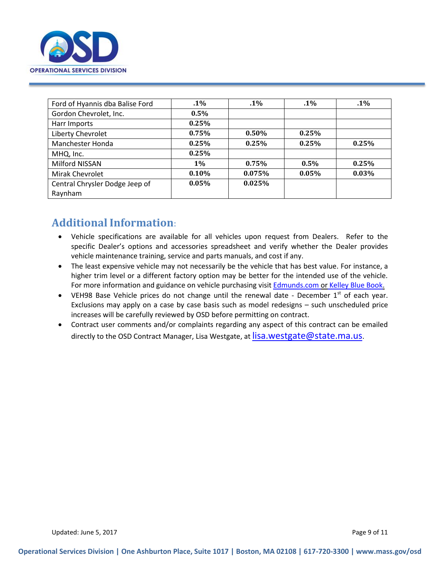

| Ford of Hyannis dba Balise Ford | $.1\%$   | $.1\%$   | $.1\%$   | $.1\%$ |
|---------------------------------|----------|----------|----------|--------|
| Gordon Chevrolet, Inc.          | $0.5\%$  |          |          |        |
| Harr Imports                    | 0.25%    |          |          |        |
| Liberty Chevrolet               | 0.75%    | $0.50\%$ | 0.25%    |        |
| Manchester Honda                | 0.25%    | 0.25%    | 0.25%    | 0.25%  |
| MHQ, Inc.                       | 0.25%    |          |          |        |
| Milford NISSAN                  | $1\%$    | 0.75%    | $0.5\%$  | 0.25%  |
| Mirak Chevrolet                 | $0.10\%$ | 0.075%   | $0.05\%$ | 0.03%  |
| Central Chrysler Dodge Jeep of  | $0.05\%$ | 0.025%   |          |        |
| Raynham                         |          |          |          |        |

## **Additional Information**:

- Vehicle specifications are available for all vehicles upon request from Dealers. Refer to the specific Dealer's options and accessories spreadsheet and verify whether the Dealer provides vehicle maintenance training, service and parts manuals, and cost if any.
- The least expensive vehicle may not necessarily be the vehicle that has best value. For instance, a higher trim level or a different factory option may be better for the intended use of the vehicle. For more information and guidance on vehicle purchasing visit [Edmunds.com](http://www.edmunds.com/car-reviews/2013-buying-guide.html) or [Kelley Blue Book.](https://www.kbb.com/?psid=19999&siomid=szqixn2b4_dc|138053942341|kelley%20blue%20book|e|26285ajd51861&segment=&enhancedvs=&bodystyle=)
- VEH98 Base Vehicle prices do not change until the renewal date December  $1<sup>st</sup>$  of each year. Exclusions may apply on a case by case basis such as model redesigns – such unscheduled price increases will be carefully reviewed by OSD before permitting on contract.
- Contract user comments and/or complaints regarding any aspect of this contract can be emailed directly to the OSD Contract Manager, Lisa Westgate, at [lisa.westgate@state.ma.us](mailto:lisa.westgate@state.ma.us).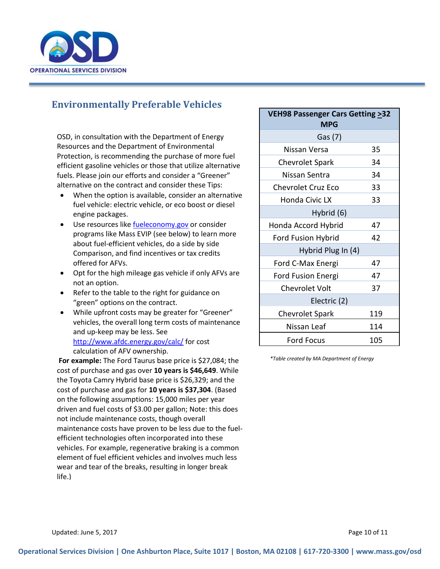

## **Environmentally Preferable Vehicles**

OSD, in consultation with the Department of Energy Resources and the Department of Environmental Protection, is recommending the purchase of more fuel efficient gasoline vehicles or those that utilize alternative fuels. Please join our efforts and consider a "Greener" alternative on the contract and consider these Tips:

- When the option is available, consider an alternative fuel vehicle: electric vehicle, or eco boost or diesel engine packages.
- Use resources like [fueleconomy.gov](http://www.fueleconomy.gov/) or consider programs like Mass EVIP (see below) to learn more about fuel-efficient vehicles, do a side by side Comparison, and find incentives or tax credits offered for AFVs.
- Opt for the high mileage gas vehicle if only AFVs are not an option.
- Refer to the table to the right for guidance on "green" options on the contract.
- While upfront costs may be greater for "Greener" vehicles, the overall long term costs of maintenance and up-keep may be less. See <http://www.afdc.energy.gov/calc/> for cost calculation of AFV ownership.

**For example:** The Ford Taurus base price is \$27,084; the cost of purchase and gas over **10 years is \$46,649**. While the Toyota Camry Hybrid base price is \$26,329; and the cost of purchase and gas for **10 years is \$37,304**. (Based on the following assumptions: 15,000 miles per year driven and fuel costs of \$3.00 per gallon; Note: this does not include maintenance costs, though overall maintenance costs have proven to be less due to the fuelefficient technologies often incorporated into these vehicles. For example, regenerative braking is a common element of fuel efficient vehicles and involves much less wear and tear of the breaks, resulting in longer break life.)

| <b>VEH98 Passenger Cars Getting &gt;32</b><br><b>MPG</b> |     |  |
|----------------------------------------------------------|-----|--|
| Gas (7)                                                  |     |  |
| Nissan Versa                                             | 35  |  |
| <b>Chevrolet Spark</b>                                   | 34  |  |
| Nissan Sentra                                            | 34  |  |
| <b>Chevrolet Cruz Eco</b>                                | 33  |  |
| Honda Civic LX                                           | 33  |  |
| Hybrid (6)                                               |     |  |
| Honda Accord Hybrid                                      | 47  |  |
| Ford Fusion Hybrid                                       | 42  |  |
| Hybrid Plug In (4)                                       |     |  |
| Ford C-Max Energi                                        | 47  |  |
| Ford Fusion Energi                                       | 47  |  |
| <b>Chevrolet Volt</b>                                    | 37  |  |
| Electric (2)                                             |     |  |
| <b>Chevrolet Spark</b>                                   | 119 |  |
| Nissan Leaf                                              | 114 |  |
| <b>Ford Focus</b>                                        | 105 |  |

*\*Table created by MA Department of Energy* 

Updated: June 5, 2017 **Page 10 of 11**